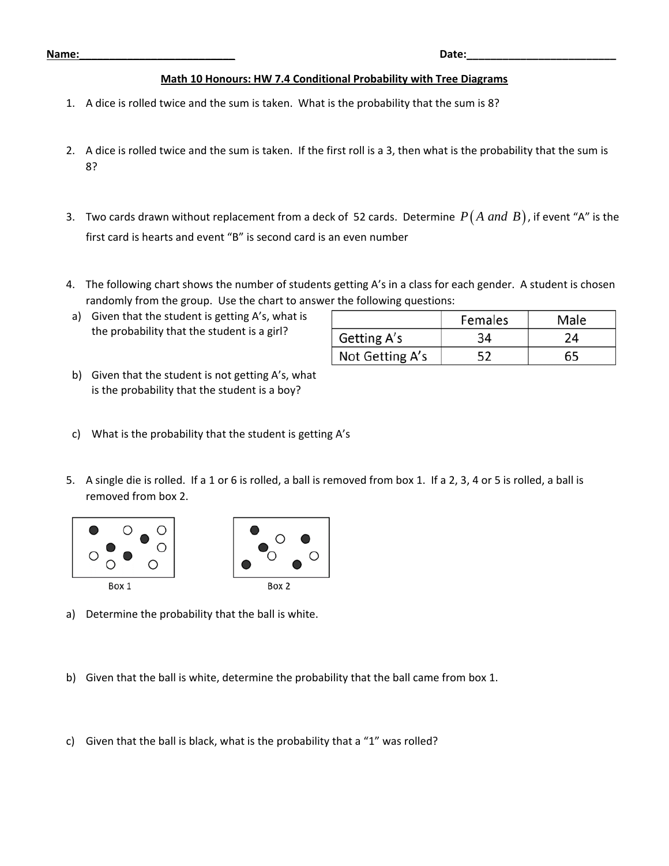Females

34

52

Male

24

65

## **Math 10 Honours: HW 7.4 Conditional Probability with Tree Diagrams**

- 1. A dice is rolled twice and the sum is taken. What is the probability that the sum is 8?
- 2. A dice is rolled twice and the sum is taken. If the first roll is a 3, then what is the probability that the sum is 8?
- 3. Two cards drawn without replacement from a deck of 52 cards. Determine  $P(A \text{ and } B)$ , if event "A" is the first card is hearts and event "B" is second card is an even number
- 4. The following chart shows the number of students getting A's in a class for each gender. A student is chosen randomly from the group. Use the chart to answer the following questions:

Getting A's

Not Getting A's

a) Given that the student is getting A's, what is the probability that the student is a girl?

| b) | Given that the student is not getting A's, what |
|----|-------------------------------------------------|
|    | is the probability that the student is a boy?   |

- c) What is the probability that the student is getting A's
- 5. A single die is rolled. If a 1 or 6 is rolled, a ball is removed from box 1. If a 2, 3, 4 or 5 is rolled, a ball is removed from box 2.





- a) Determine the probability that the ball is white.
- b) Given that the ball is white, determine the probability that the ball came from box 1.
- c) Given that the ball is black, what is the probability that a "1" was rolled?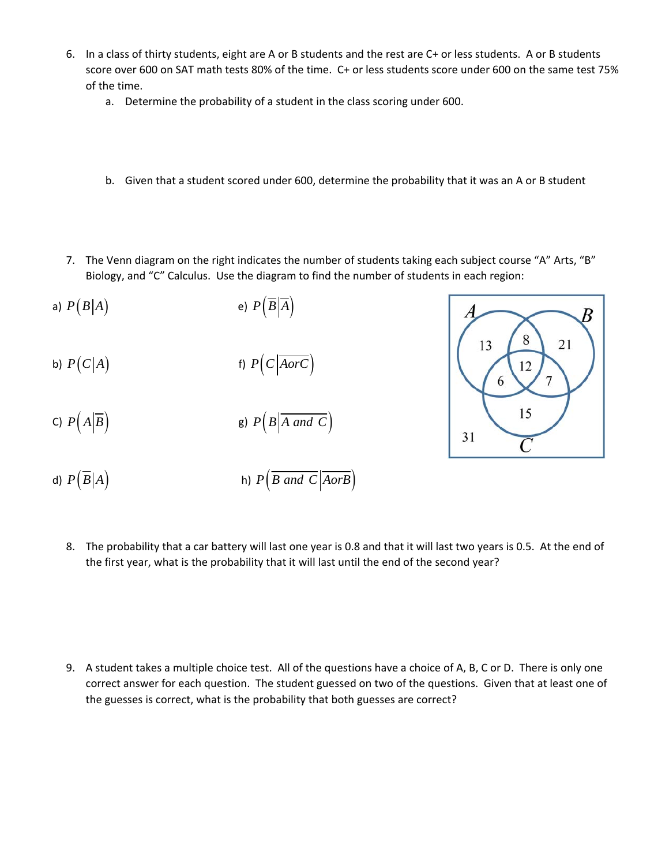- 6. In a class of thirty students, eight are A or B students and the rest are C+ or less students. A or B students score over 600 on SAT math tests 80% of the time. C+ or less students score under 600 on the same test 75% of the time.
	- a. Determine the probability of a student in the class scoring under 600.
	- b. Given that a student scored under 600, determine the probability that it was an A or B student
- 7. The Venn diagram on the right indicates the number of students taking each subject course "A" Arts, "B" Biology, and "C" Calculus. Use the diagram to find the number of students in each region:
- a)  $P(B|A)$  e)  $P(\overline{B}|\overline{A})$ b)  $P(C|A)$  f)  $P(C|\overline{AorC})$
- C)  $P(A|\overline{B})$  g)  $P(B|\overline{A \text{ and } C})$
- d)  $P(\overline{B}|A)$  h)  $P(\overline{B} \text{ and } \overline{C} | \overline{A \text{ or } B})$ 
	- 8. The probability that a car battery will last one year is 0.8 and that it will last two years is 0.5. At the end of the first year, what is the probability that it will last until the end of the second year?

9. A student takes a multiple choice test. All of the questions have a choice of A, B, C or D. There is only one correct answer for each question. The student guessed on two of the questions. Given that at least one of the guesses is correct, what is the probability that both guesses are correct?

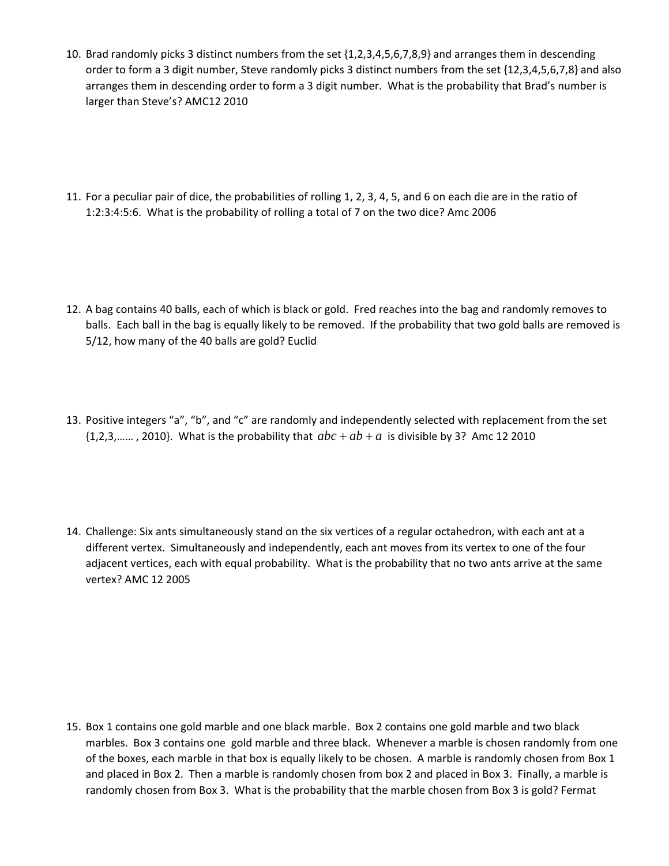- 10. Brad randomly picks 3 distinct numbers from the set {1,2,3,4,5,6,7,8,9} and arranges them in descending order to form a 3 digit number, Steve randomly picks 3 distinct numbers from the set {12,3,4,5,6,7,8} and also arranges them in descending order to form a 3 digit number. What is the probability that Brad's number is larger than Steve's? AMC12 2010
- 11. For a peculiar pair of dice, the probabilities of rolling 1, 2, 3, 4, 5, and 6 on each die are in the ratio of 1:2:3:4:5:6. What is the probability of rolling a total of 7 on the two dice? Amc 2006
- 12. A bag contains 40 balls, each of which is black or gold. Fred reaches into the bag and randomly removes to balls. Each ball in the bag is equally likely to be removed. If the probability that two gold balls are removed is 5/12, how many of the 40 balls are gold? Euclid
- 13. Positive integers "a", "b", and "c" are randomly and independently selected with replacement from the set  $\{1,2,3,\ldots\}$ , 2010}. What is the probability that  $abc + ab + a$  is divisible by 3? Amc 12 2010
- 14. Challenge: Six ants simultaneously stand on the six vertices of a regular octahedron, with each ant at a different vertex. Simultaneously and independently, each ant moves from its vertex to one of the four adjacent vertices, each with equal probability. What is the probability that no two ants arrive at the same vertex? AMC 12 2005

15. Box 1 contains one gold marble and one black marble. Box 2 contains one gold marble and two black marbles. Box 3 contains one gold marble and three black. Whenever a marble is chosen randomly from one of the boxes, each marble in that box is equally likely to be chosen. A marble is randomly chosen from Box 1 and placed in Box 2. Then a marble is randomly chosen from box 2 and placed in Box 3. Finally, a marble is randomly chosen from Box 3. What is the probability that the marble chosen from Box 3 is gold? Fermat